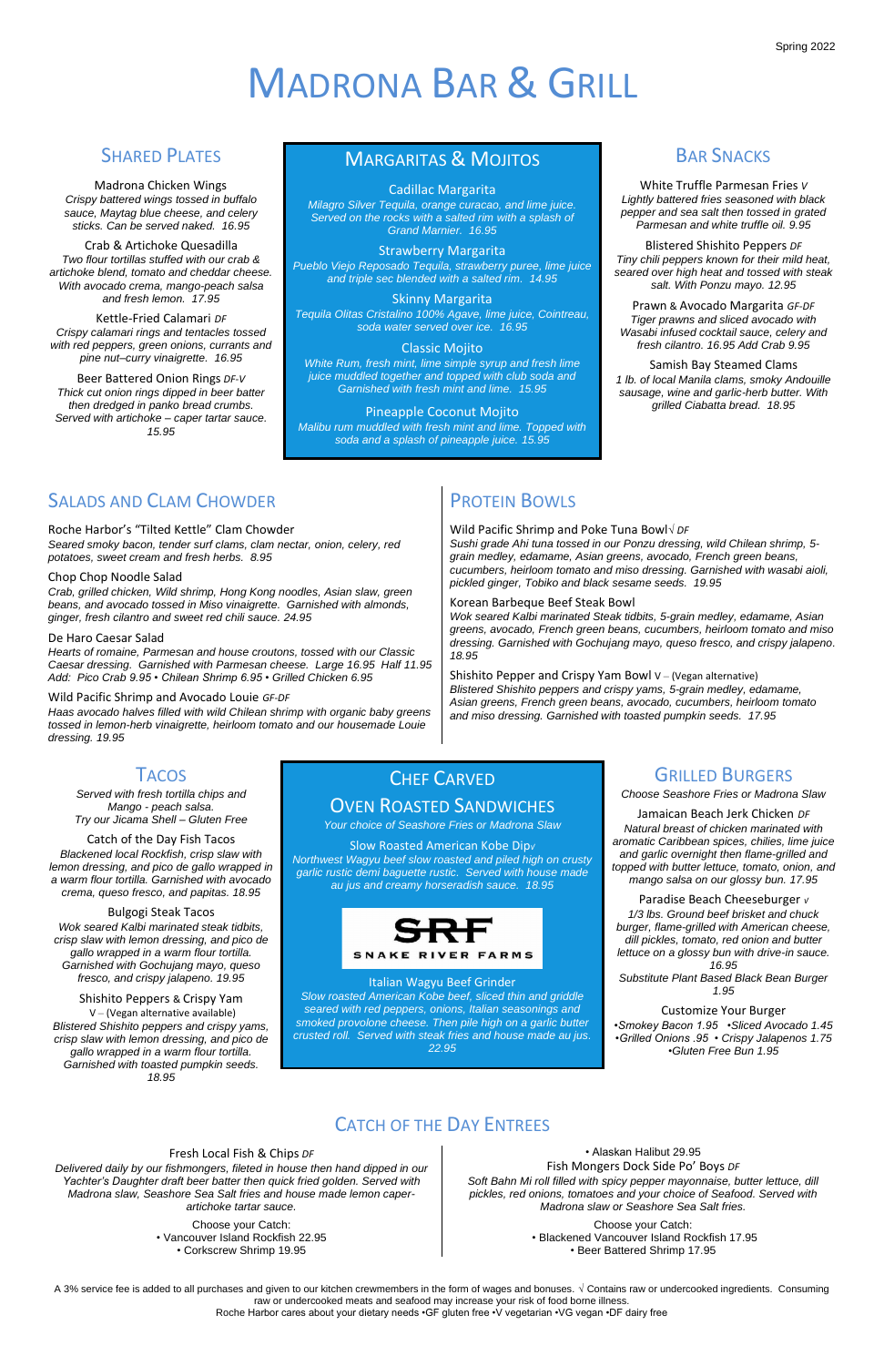A 3% service fee is added to all purchases and given to our kitchen crewmembers in the form of wages and bonuses. **√** Contains raw or undercooked ingredients. Consuming raw or undercooked meats and seafood may increase your risk of food borne illness. Roche Harbor cares about your dietary needs •GF gluten free •V vegetarian •VG vegan •DF dairy free

# MADRONA BAR & GRILL

### SHARED PLATES

Madrona Chicken Wings *Crispy battered wings tossed in buffalo sauce, Maytag blue cheese, and celery sticks. Can be served naked. 16.95*

Crab & Artichoke Quesadilla *Two flour tortillas stuffed with our crab & artichoke blend, tomato and cheddar cheese. With avocado crema, mango-peach salsa and fresh lemon. 17.95*

Kettle-Fried Calamari *DF Crispy calamari rings and tentacles tossed with red peppers, green onions, currants and pine nut–curry vinaigrette. 16.95*

Beer Battered Onion Rings *DF-V Thick cut onion rings dipped in beer batter then dredged in panko bread crumbs. Served with artichoke – caper tartar sauce. 15.95*

### MARGARITAS & MOJITOS

#### Cadillac Margarita

*Milagro Silver Tequila, orange curacao, and lime juice. Served on the rocks with a salted rim with a splash of Grand Marnier. 16.95*

#### Strawberry Margarita

*Pueblo Viejo Reposado Tequila, strawberry puree, lime juice and triple sec blended with a salted rim. 14.95*

#### Skinny Margarita

*Tequila Olitas Cristalino 100% Agave, lime juice, Cointreau, soda water served over ice. 16.95*

#### Classic Mojito

*White Rum, fresh mint, lime simple syrup and fresh lime juice muddled together and topped with club soda and Garnished with fresh mint and lime. 15.95*

Pineapple Coconut Mojito *Malibu rum muddled with fresh mint and lime. Topped with soda and a splash of pineapple juice. 15.95*

### **BAR SNACKS**

White Truffle Parmesan Fries *V Lightly battered fries seasoned with black pepper and sea salt then tossed in grated Parmesan and white truffle oil. 9.95*

Blistered Shishito Peppers *DF Tiny chili peppers known for their mild heat, seared over high heat and tossed with steak salt. With Ponzu mayo. 12.95*

Shishito Pepper and Crispy Yam Bowl  $V - (Vegan$  alternative) *Blistered Shishito peppers and crispy yams, 5-grain medley, edamame, Asian greens, French green beans, avocado, cucumbers, heirloom tomato and miso dressing. Garnished with toasted pumpkin seeds. 17.95*

### **TACOS**

Prawn & Avocado Margarita *GF-DF Tiger prawns and sliced avocado with Wasabi infused cocktail sauce, celery and fresh cilantro. 16.95 Add Crab 9.95*

Samish Bay Steamed Clams *1 lb. of local Manila clams, smoky Andouille sausage, wine and garlic-herb butter. With grilled Ciabatta bread. 18.95*

### SALADS AND CLAM CHOWDER

#### Roche Harbor's "Tilted Kettle" Clam Chowder

*Seared smoky bacon, tender surf clams, clam nectar, onion, celery, red potatoes, sweet cream and fresh herbs. 8.95*

#### Chop Chop Noodle Salad

*Crab, grilled chicken, Wild shrimp, Hong Kong noodles, Asian slaw, green beans, and avocado tossed in Miso vinaigrette. Garnished with almonds, ginger, fresh cilantro and sweet red chili sauce. 24.95*

#### De Haro Caesar Salad

*Hearts of romaine, Parmesan and house croutons, tossed with our Classic Caesar dressing. Garnished with Parmesan cheese. Large 16.95 Half 11.95 Add: Pico Crab 9.95 • Chilean Shrimp 6.95 • Grilled Chicken 6.95*

#### Wild Pacific Shrimp and Avocado Louie *GF-DF*

*Haas avocado halves filled with wild Chilean shrimp with organic baby greens tossed in lemon-herb vinaigrette, heirloom tomato and our housemade Louie dressing. 19.95*

# PROTEIN BOWLS

Wild Pacific Shrimp and Poke Tuna Bowl*√ DF Sushi grade Ahi tuna tossed in our Ponzu dressing, wild Chilean shrimp, 5 grain medley, edamame, Asian greens, avocado, French green beans, cucumbers, heirloom tomato and miso dressing. Garnished with wasabi aioli, pickled ginger, Tobiko and black sesame seeds. 19.95*

Korean Barbeque Beef Steak Bowl

*Wok seared Kalbi marinated Steak tidbits, 5-grain medley, edamame, Asian greens, avocado, French green beans, cucumbers, heirloom tomato and miso dressing. Garnished with Gochujang mayo, queso fresco, and crispy jalapeno. 18.95*

*Served with fresh tortilla chips and Mango - peach salsa. Try our Jicama Shell – Gluten Free*

Catch of the Day Fish Tacos *Blackened local Rockfish, crisp slaw with lemon dressing, and pico de gallo wrapped in a warm flour tortilla. Garnished with avocado crema, queso fresco, and papitas. 18.95*

Bulgogi Steak Tacos *Wok seared Kalbi marinated steak tidbits, crisp slaw with lemon dressing, and pico de gallo wrapped in a warm flour tortilla. Garnished with Gochujang mayo, queso fresco, and crispy jalapeno. 19.95*

Shishito Peppers & Crispy Yam

V – (Vegan alternative available) *Blistered Shishito peppers and crispy yams, crisp slaw with lemon dressing, and pico de gallo wrapped in a warm flour tortilla. Garnished with toasted pumpkin seeds. 18.95*

### CHEF CARVED OVEN ROASTED SANDWICHES

*Your choice of Seashore Fries or Madrona Slaw*

Slow Roasted American Kobe Dip*<sup>√</sup> Northwest Wagyu beef slow roasted and piled high on crusty garlic rustic demi baguette rustic. Served with house made au jus and creamy horseradish sauce. 18.95*



Italian Wagyu Beef Grinder *Slow roasted American Kobe beef, sliced thin and griddle seared with red peppers, onions, Italian seasonings and smoked provolone cheese. Then pile high on a garlic butter crusted roll. Served with steak fries and house made au jus. 22.95*

### GRILLED BURGERS

*Choose Seashore Fries or Madrona Slaw*

Jamaican Beach Jerk Chicken *DF Natural breast of chicken marinated with aromatic Caribbean spices, chilies, lime juice and garlic overnight then flame-grilled and topped with butter lettuce, tomato, onion, and mango salsa on our glossy bun. 17.95*

Paradise Beach Cheeseburger *<sup>√</sup> 1/3 lbs. Ground beef brisket and chuck burger, flame-grilled with American cheese, dill pickles, tomato, red onion and butter lettuce on a glossy bun with drive-in sauce. 16.95*

*Substitute Plant Based Black Bean Burger 1.95*

Customize Your Burger *•Smokey Bacon 1.95 •Sliced Avocado 1.45 •Grilled Onions .95 • Crispy Jalapenos 1.75 •Gluten Free Bun 1.95*

### **CATCH OF THE DAY ENTREFS**

Fresh Local Fish & Chips *DF Delivered daily by our fishmongers, fileted in house then hand dipped in our Yachter's Daughter draft beer batter then quick fried golden. Served with Madrona slaw, Seashore Sea Salt fries and house made lemon caperartichoke tartar sauce.*

> Choose your Catch: • Vancouver Island Rockfish 22.95 • Corkscrew Shrimp 19.95

• Alaskan Halibut 29.95 Fish Mongers Dock Side Po' Boys *DF Soft Bahn Mi roll filled with spicy pepper mayonnaise, butter lettuce, dill pickles, red onions, tomatoes and your choice of Seafood. Served with Madrona slaw or Seashore Sea Salt fries.*

> Choose your Catch: • Blackened Vancouver Island Rockfish 17.95 • Beer Battered Shrimp 17.95